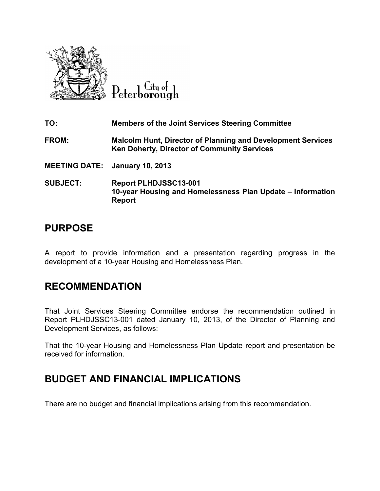

 $C$ ity of Peterborough

| TO:                                   | <b>Members of the Joint Services Steering Committee</b>                                                           |
|---------------------------------------|-------------------------------------------------------------------------------------------------------------------|
| FROM:                                 | <b>Malcolm Hunt, Director of Planning and Development Services</b><br>Ken Doherty, Director of Community Services |
| <b>MEETING DATE: January 10, 2013</b> |                                                                                                                   |
| <b>SUBJECT:</b>                       | <b>Report PLHDJSSC13-001</b><br>10-year Housing and Homelessness Plan Update – Information<br><b>Report</b>       |

### **PURPOSE**

A report to provide information and a presentation regarding progress in the development of a 10-year Housing and Homelessness Plan.

# **RECOMMENDATION**

That Joint Services Steering Committee endorse the recommendation outlined in Report PLHDJSSC13-001 dated January 10, 2013, of the Director of Planning and Development Services, as follows:

That the 10-year Housing and Homelessness Plan Update report and presentation be received for information.

# **BUDGET AND FINANCIAL IMPLICATIONS**

There are no budget and financial implications arising from this recommendation.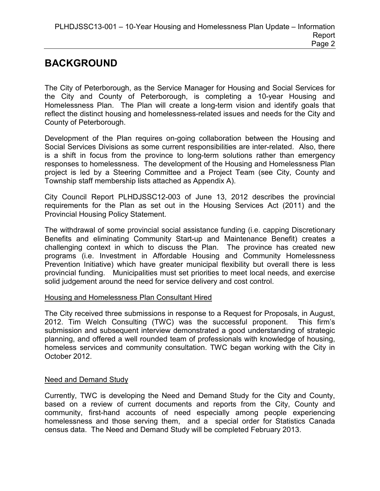# **BACKGROUND**

The City of Peterborough, as the Service Manager for Housing and Social Services for the City and County of Peterborough, is completing a 10-year Housing and Homelessness Plan. The Plan will create a long-term vision and identify goals that reflect the distinct housing and homelessness-related issues and needs for the City and County of Peterborough.

Development of the Plan requires on-going collaboration between the Housing and Social Services Divisions as some current responsibilities are inter-related. Also, there is a shift in focus from the province to long-term solutions rather than emergency responses to homelessness. The development of the Housing and Homelessness Plan project is led by a Steering Committee and a Project Team (see City, County and Township staff membership lists attached as Appendix A).

City Council Report PLHDJSSC12-003 of June 13, 2012 describes the provincial requirements for the Plan as set out in the Housing Services Act (2011) and the Provincial Housing Policy Statement.

The withdrawal of some provincial social assistance funding (i.e. capping Discretionary Benefits and eliminating Community Start-up and Maintenance Benefit) creates a challenging context in which to discuss the Plan. The province has created new programs (i.e. Investment in Affordable Housing and Community Homelessness Prevention Initiative) which have greater municipal flexibility but overall there is less provincial funding. Municipalities must set priorities to meet local needs, and exercise solid judgement around the need for service delivery and cost control.

#### Housing and Homelessness Plan Consultant Hired

The City received three submissions in response to a Request for Proposals, in August, 2012. Tim Welch Consulting (TWC) was the successful proponent. This firm's submission and subsequent interview demonstrated a good understanding of strategic planning, and offered a well rounded team of professionals with knowledge of housing, homeless services and community consultation. TWC began working with the City in October 2012.

#### Need and Demand Study

Currently, TWC is developing the Need and Demand Study for the City and County, based on a review of current documents and reports from the City, County and community, first-hand accounts of need especially among people experiencing homelessness and those serving them, and a special order for Statistics Canada census data. The Need and Demand Study will be completed February 2013.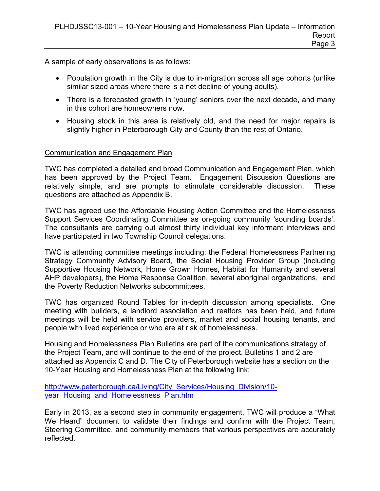A sample of early observations is as follows:

- Population growth in the City is due to in-migration across all age cohorts (unlike similar sized areas where there is a net decline of young adults).
- There is a forecasted growth in 'young' seniors over the next decade, and many in this cohort are homeowners now.
- Housing stock in this area is relatively old, and the need for major repairs is slightly higher in Peterborough City and County than the rest of Ontario.

### Communication and Engagement Plan

TWC has completed a detailed and broad Communication and Engagement Plan, which has been approved by the Project Team. Engagement Discussion Questions are relatively simple, and are prompts to stimulate considerable discussion. These questions are attached as Appendix B.

TWC has agreed use the Affordable Housing Action Committee and the Homelessness Support Services Coordinating Committee as on-going community 'sounding boards'. The consultants are carrying out almost thirty individual key informant interviews and have participated in two Township Council delegations.

TWC is attending committee meetings including: the Federal Homelessness Partnering Strategy Community Advisory Board, the Social Housing Provider Group (including Supportive Housing Network, Home Grown Homes, Habitat for Humanity and several AHP developers), the Home Response Coalition, several aboriginal organizations, and the Poverty Reduction Networks subcommittees.

TWC has organized Round Tables for in-depth discussion among specialists. One meeting with builders, a landlord association and realtors has been held, and future meetings will be held with service providers, market and social housing tenants, and people with lived experience or who are at risk of homelessness.

Housing and Homelessness Plan Bulletins are part of the communications strategy of the Project Team, and will continue to the end of the project. Bulletins 1 and 2 are attached as Appendix C and D. The City of Peterborough website has a section on the 10-Year Housing and Homelessness Plan at the following link:

[http://www.peterborough.ca/Living/City\\_Services/Housing\\_Division/10](http://www.peterborough.ca/Living/City_Services/Housing_Division/10-year_Housing_and_Homelessness_Plan.htm) year Housing and Homelessness Plan.htm

Early in 2013, as a second step in community engagement, TWC will produce a "What We Heard" document to validate their findings and confirm with the Project Team, Steering Committee, and community members that various perspectives are accurately reflected.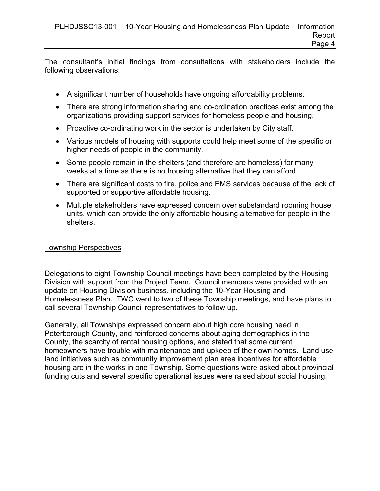The consultant's initial findings from consultations with stakeholders include the following observations:

- A significant number of households have ongoing affordability problems.
- There are strong information sharing and co-ordination practices exist among the organizations providing support services for homeless people and housing.
- Proactive co-ordinating work in the sector is undertaken by City staff.
- Various models of housing with supports could help meet some of the specific or higher needs of people in the community.
- Some people remain in the shelters (and therefore are homeless) for many weeks at a time as there is no housing alternative that they can afford.
- There are significant costs to fire, police and EMS services because of the lack of supported or supportive affordable housing.
- Multiple stakeholders have expressed concern over substandard rooming house units, which can provide the only affordable housing alternative for people in the shelters.

#### Township Perspectives

Delegations to eight Township Council meetings have been completed by the Housing Division with support from the Project Team. Council members were provided with an update on Housing Division business, including the 10-Year Housing and Homelessness Plan. TWC went to two of these Township meetings, and have plans to call several Township Council representatives to follow up.

Generally, all Townships expressed concern about high core housing need in Peterborough County, and reinforced concerns about aging demographics in the County, the scarcity of rental housing options, and stated that some current homeowners have trouble with maintenance and upkeep of their own homes. Land use land initiatives such as community improvement plan area incentives for affordable housing are in the works in one Township. Some questions were asked about provincial funding cuts and several specific operational issues were raised about social housing.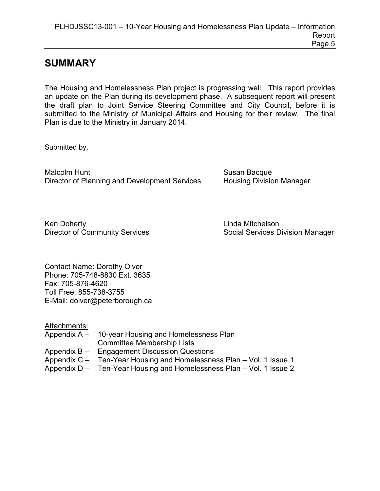## **SUMMARY**

The Housing and Homelessness Plan project is progressing well. This report provides an update on the Plan during its development phase. A subsequent report will present the draft plan to Joint Service Steering Committee and City Council, before it is submitted to the Ministry of Municipal Affairs and Housing for their review. The final Plan is due to the Ministry in January 2014.

Submitted by,

Malcolm Hunt<br>Director of Planning and Development Services Housing Division Manager Director of Planning and Development Services

Ken Doherty<br>
Director of Community Services<br>
Director of Community Services<br>
Cocial Services D

Social Services Division Manager

Contact Name: Dorothy Olver Phone: 705-748-8830 Ext. 3635 Fax: 705-876-4620 Toll Free: 855-738-3755 E-Mail: dolver@peterborough.ca

| Appendix A – 10-year Housing and Homelessness Plan                   |
|----------------------------------------------------------------------|
| <b>Committee Membership Lists</b>                                    |
| Appendix B – Engagement Discussion Questions                         |
| Appendix C – Ten-Year Housing and Homelessness Plan – Vol. 1 Issue 1 |
| Appendix D – Ten-Year Housing and Homelessness Plan – Vol. 1 Issue 2 |
|                                                                      |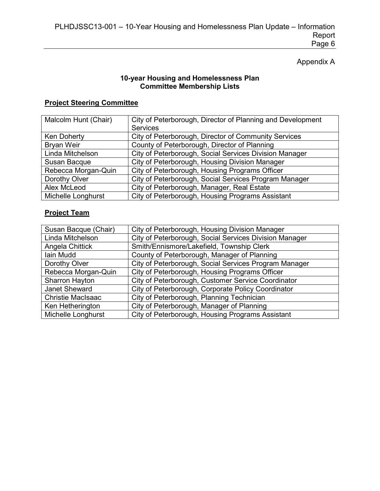Appendix A

#### **10-year Housing and Homelessness Plan Committee Membership Lists**

### **Project Steering Committee**

| Malcolm Hunt (Chair) | City of Peterborough, Director of Planning and Development |
|----------------------|------------------------------------------------------------|
|                      | <b>Services</b>                                            |
| Ken Doherty          | City of Peterborough, Director of Community Services       |
| <b>Bryan Weir</b>    | County of Peterborough, Director of Planning               |
| Linda Mitchelson     | City of Peterborough, Social Services Division Manager     |
| Susan Bacque         | City of Peterborough, Housing Division Manager             |
| Rebecca Morgan-Quin  | City of Peterborough, Housing Programs Officer             |
| Dorothy Olver        | City of Peterborough, Social Services Program Manager      |
| Alex McLeod          | City of Peterborough, Manager, Real Estate                 |
| Michelle Longhurst   | City of Peterborough, Housing Programs Assistant           |

### **Project Team**

| Susan Bacque (Chair)     | City of Peterborough, Housing Division Manager         |
|--------------------------|--------------------------------------------------------|
| Linda Mitchelson         | City of Peterborough, Social Services Division Manager |
| Angela Chittick          | Smith/Ennismore/Lakefield, Township Clerk              |
| lain Mudd                | County of Peterborough, Manager of Planning            |
| Dorothy Olver            | City of Peterborough, Social Services Program Manager  |
| Rebecca Morgan-Quin      | City of Peterborough, Housing Programs Officer         |
| Sharron Hayton           | City of Peterborough, Customer Service Coordinator     |
| Janet Sheward            | City of Peterborough, Corporate Policy Coordinator     |
| <b>Christie MacIsaac</b> | City of Peterborough, Planning Technician              |
| Ken Hetherington         | City of Peterborough, Manager of Planning              |
| Michelle Longhurst       | City of Peterborough, Housing Programs Assistant       |